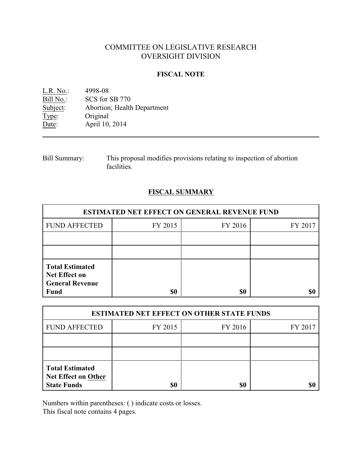# COMMITTEE ON LEGISLATIVE RESEARCH OVERSIGHT DIVISION

# **FISCAL NOTE**

| $L.R. No.$ : | 4998-08                     |
|--------------|-----------------------------|
| Bill No.:    | SCS for SB 770              |
| Subject:     | Abortion; Health Department |
| Type:        | Original                    |
| Date:        | April 10, 2014              |

| <b>Bill Summary:</b> | This proposal modifies provisions relating to inspection of abortion |
|----------------------|----------------------------------------------------------------------|
|                      | facilities.                                                          |

# **FISCAL SUMMARY**

| <b>ESTIMATED NET EFFECT ON GENERAL REVENUE FUND</b>                                     |         |         |         |  |  |
|-----------------------------------------------------------------------------------------|---------|---------|---------|--|--|
| <b>FUND AFFECTED</b>                                                                    | FY 2015 | FY 2016 | FY 2017 |  |  |
|                                                                                         |         |         |         |  |  |
|                                                                                         |         |         |         |  |  |
| <b>Total Estimated</b><br><b>Net Effect on</b><br><b>General Revenue</b><br><b>Fund</b> | \$0     | \$0     |         |  |  |

| <b>ESTIMATED NET EFFECT ON OTHER STATE FUNDS</b>                           |         |         |         |  |
|----------------------------------------------------------------------------|---------|---------|---------|--|
| <b>FUND AFFECTED</b>                                                       | FY 2015 | FY 2016 | FY 2017 |  |
|                                                                            |         |         |         |  |
|                                                                            |         |         |         |  |
| <b>Total Estimated</b><br><b>Net Effect on Other</b><br><b>State Funds</b> | \$0     | \$0     |         |  |

Numbers within parentheses: ( ) indicate costs or losses.

This fiscal note contains 4 pages.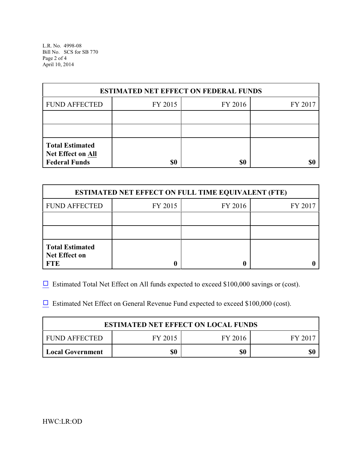L.R. No. 4998-08 Bill No. SCS for SB 770 Page 2 of 4 April 10, 2014

| <b>ESTIMATED NET EFFECT ON FEDERAL FUNDS</b>                        |         |         |         |  |
|---------------------------------------------------------------------|---------|---------|---------|--|
| <b>FUND AFFECTED</b>                                                | FY 2015 | FY 2016 | FY 2017 |  |
|                                                                     |         |         |         |  |
|                                                                     |         |         |         |  |
| <b>Total Estimated</b><br>Net Effect on All<br><b>Federal Funds</b> | \$0     | \$0     |         |  |

| <b>ESTIMATED NET EFFECT ON FULL TIME EQUIVALENT (FTE)</b>    |         |         |         |  |
|--------------------------------------------------------------|---------|---------|---------|--|
| <b>FUND AFFECTED</b>                                         | FY 2015 | FY 2016 | FY 2017 |  |
|                                                              |         |         |         |  |
|                                                              |         |         |         |  |
| <b>Total Estimated</b><br><b>Net Effect on</b><br><b>FTE</b> |         |         |         |  |

 $\Box$  Estimated Total Net Effect on All funds expected to exceed \$100,000 savings or (cost).

 $\Box$  Estimated Net Effect on General Revenue Fund expected to exceed \$100,000 (cost).

| <b>ESTIMATED NET EFFECT ON LOCAL FUNDS</b>   |     |     |  |  |  |
|----------------------------------------------|-----|-----|--|--|--|
| FUND AFFECTED<br>FY 2015<br>FY 2016<br>FV 20 |     |     |  |  |  |
| <b>Local Government</b>                      | \$0 | \$0 |  |  |  |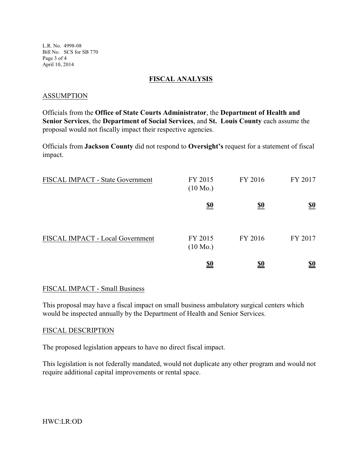L.R. No. 4998-08 Bill No. SCS for SB 770 Page 3 of 4 April 10, 2014

## **FISCAL ANALYSIS**

#### ASSUMPTION

Officials from the **Office of State Courts Administrator**, the **Department of Health and Senior Services**, the **Department of Social Services**, and **St. Louis County** each assume the proposal would not fiscally impact their respective agencies.

Officials from **Jackson County** did not respond to **Oversight's** request for a statement of fiscal impact.

| FISCAL IMPACT - State Government | FY 2015<br>$(10 \text{ Mo.})$ | FY 2016    | FY 2017                       |
|----------------------------------|-------------------------------|------------|-------------------------------|
|                                  | <u>\$0</u>                    | <u>\$0</u> | $\underline{\underline{\$0}}$ |
| FISCAL IMPACT - Local Government | FY 2015<br>$(10 \text{ Mo.})$ | FY 2016    | FY 2017                       |
|                                  | <u>\$0</u>                    | <u>\$0</u> | <u>\$0</u>                    |

## FISCAL IMPACT - Small Business

This proposal may have a fiscal impact on small business ambulatory surgical centers which would be inspected annually by the Department of Health and Senior Services.

## FISCAL DESCRIPTION

The proposed legislation appears to have no direct fiscal impact.

This legislation is not federally mandated, would not duplicate any other program and would not require additional capital improvements or rental space.

HWC:LR:OD